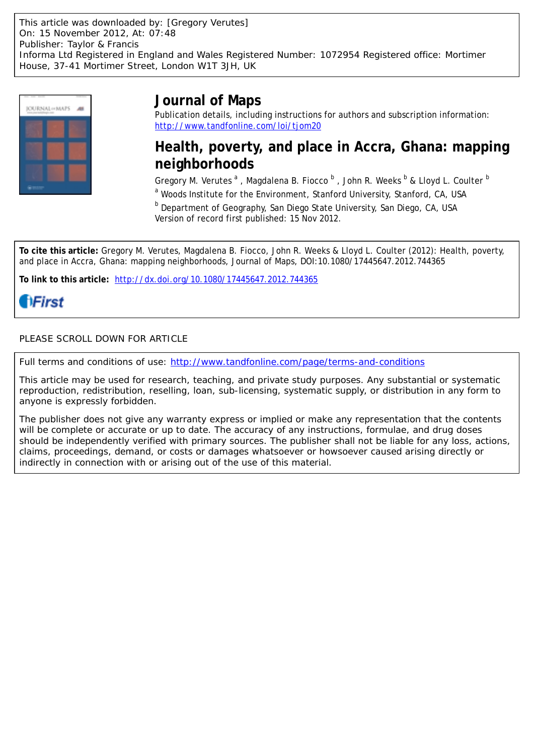

# **Journal of Maps**

Publication details, including instructions for authors and subscription information: <http://www.tandfonline.com/loi/tjom20>

# **Health, poverty, and place in Accra, Ghana: mapping neighborhoods**

Gregory M. Verutes <sup>a</sup>, Magdalena B. Fiocco <sup>b</sup>, John R. Weeks <sup>b</sup> & Lloyd L. Coulter <sup>b</sup>

<sup>a</sup> Woods Institute for the Environment, Stanford University, Stanford, CA, USA

<sup>b</sup> Department of Geography, San Diego State University, San Diego, CA, USA Version of record first published: 15 Nov 2012.

**To cite this article:** Gregory M. Verutes, Magdalena B. Fiocco, John R. Weeks & Lloyd L. Coulter (2012): Health, poverty, and place in Accra, Ghana: mapping neighborhoods, Journal of Maps, DOI:10.1080/17445647.2012.744365

**To link to this article:** <http://dx.doi.org/10.1080/17445647.2012.744365>

**HFirst** 

## PLEASE SCROLL DOWN FOR ARTICLE

Full terms and conditions of use:<http://www.tandfonline.com/page/terms-and-conditions>

This article may be used for research, teaching, and private study purposes. Any substantial or systematic reproduction, redistribution, reselling, loan, sub-licensing, systematic supply, or distribution in any form to anyone is expressly forbidden.

The publisher does not give any warranty express or implied or make any representation that the contents will be complete or accurate or up to date. The accuracy of any instructions, formulae, and drug doses should be independently verified with primary sources. The publisher shall not be liable for any loss, actions, claims, proceedings, demand, or costs or damages whatsoever or howsoever caused arising directly or indirectly in connection with or arising out of the use of this material.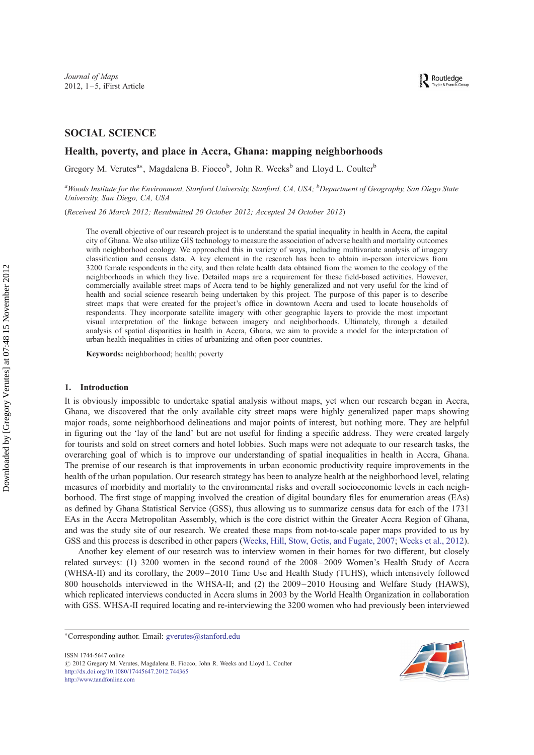### SOCIAL SCIENCE

### Health, poverty, and place in Accra, Ghana: mapping neighborhoods

Gregory M. Verutes<sup>a∗</sup>, Magdalena B. Fiocco<sup>b</sup>, John R. Weeks<sup>b</sup> and Lloyd L. Coulter<sup>b</sup>

<sup>a</sup>Woods Institute for the Environment, Stanford University, Stanford, CA, USA; <sup>b</sup>Department of Geography, San Diego State University, San Diego, CA, USA

(Received 26 March 2012; Resubmitted 20 October 2012; Accepted 24 October 2012)

The overall objective of our research project is to understand the spatial inequality in health in Accra, the capital city of Ghana. We also utilize GIS technology to measure the association of adverse health and mortality outcomes with neighborhood ecology. We approached this in variety of ways, including multivariate analysis of imagery classification and census data. A key element in the research has been to obtain in-person interviews from 3200 female respondents in the city, and then relate health data obtained from the women to the ecology of the neighborhoods in which they live. Detailed maps are a requirement for these field-based activities. However, commercially available street maps of Accra tend to be highly generalized and not very useful for the kind of health and social science research being undertaken by this project. The purpose of this paper is to describe street maps that were created for the project's office in downtown Accra and used to locate households of respondents. They incorporate satellite imagery with other geographic layers to provide the most important visual interpretation of the linkage between imagery and neighborhoods. Ultimately, through a detailed analysis of spatial disparities in health in Accra, Ghana, we aim to provide a model for the interpretation of urban health inequalities in cities of urbanizing and often poor countries.

Keywords: neighborhood; health; poverty

#### 1. Introduction

It is obviously impossible to undertake spatial analysis without maps, yet when our research began in Accra, Ghana, we discovered that the only available city street maps were highly generalized paper maps showing major roads, some neighborhood delineations and major points of interest, but nothing more. They are helpful in figuring out the 'lay of the land' but are not useful for finding a specific address. They were created largely for tourists and sold on street corners and hotel lobbies. Such maps were not adequate to our research tasks, the overarching goal of which is to improve our understanding of spatial inequalities in health in Accra, Ghana. The premise of our research is that improvements in urban economic productivity require improvements in the health of the urban population. Our research strategy has been to analyze health at the neighborhood level, relating measures of morbidity and mortality to the environmental risks and overall socioeconomic levels in each neighborhood. The first stage of mapping involved the creation of digital boundary files for enumeration areas (EAs) as defined by Ghana Statistical Service (GSS), thus allowing us to summarize census data for each of the 1731 EAs in the Accra Metropolitan Assembly, which is the core district within the Greater Accra Region of Ghana, and was the study site of our research. We created these maps from not-to-scale paper maps provided to us by GSS and this process is described in other papers ([Weeks, Hill, Stow, Getis, and Fugate, 2007](#page-5-0); [Weeks et al., 2012\)](#page-5-0).

Another key element of our research was to interview women in their homes for two different, but closely related surveys: (1) 3200 women in the second round of the 2008-2009 Women's Health Study of Accra (WHSA-II) and its corollary, the 2009-2010 Time Use and Health Study (TUHS), which intensively followed 800 households interviewed in the WHSA-II; and (2) the 2009 – 2010 Housing and Welfare Study (HAWS), which replicated interviews conducted in Accra slums in 2003 by the World Health Organization in collaboration with GSS. WHSA-II required locating and re-interviewing the 3200 women who had previously been interviewed

ISSN 1744-5647 online  $\odot$  2012 Gregory M. Verutes, Magdalena B. Fiocco, John R. Weeks and Lloyd L. Coulter http://dx.doi.org/10.1080/17445647.2012.744365 http://www.tandfonline.com



<sup>∗</sup>Corresponding author. Email: gverutes@stanford.edu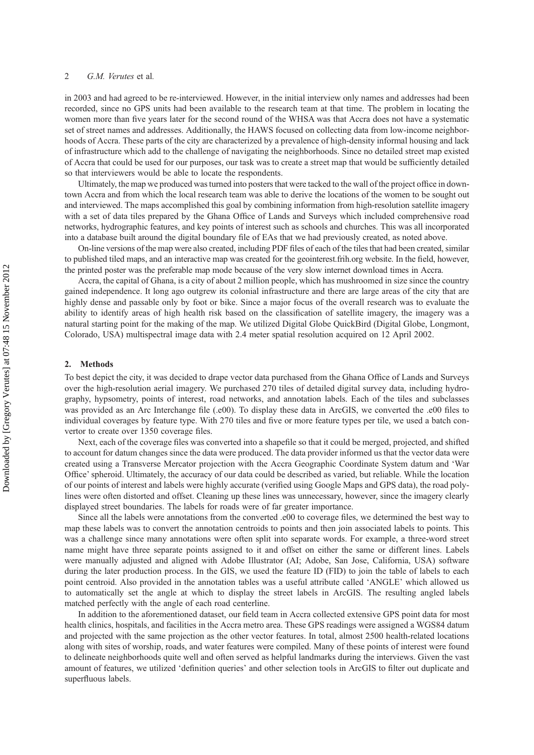#### 2 G.M. Verutes et al.

in 2003 and had agreed to be re-interviewed. However, in the initial interview only names and addresses had been recorded, since no GPS units had been available to the research team at that time. The problem in locating the women more than five years later for the second round of the WHSA was that Accra does not have a systematic set of street names and addresses. Additionally, the HAWS focused on collecting data from low-income neighborhoods of Accra. These parts of the city are characterized by a prevalence of high-density informal housing and lack of infrastructure which add to the challenge of navigating the neighborhoods. Since no detailed street map existed of Accra that could be used for our purposes, our task was to create a street map that would be sufficiently detailed so that interviewers would be able to locate the respondents.

Ultimately, the map we produced was turned into posters that were tacked to the wall of the project office in downtown Accra and from which the local research team was able to derive the locations of the women to be sought out and interviewed. The maps accomplished this goal by combining information from high-resolution satellite imagery with a set of data tiles prepared by the Ghana Office of Lands and Surveys which included comprehensive road networks, hydrographic features, and key points of interest such as schools and churches. This was all incorporated into a database built around the digital boundary file of EAs that we had previously created, as noted above.

On-line versions of the map were also created, including PDF files of each of the tiles that had been created, similar to published tiled maps, and an interactive map was created for the geointerest.frih.org website. In the field, however, the printed poster was the preferable map mode because of the very slow internet download times in Accra.

Accra, the capital of Ghana, is a city of about 2 million people, which has mushroomed in size since the country gained independence. It long ago outgrew its colonial infrastructure and there are large areas of the city that are highly dense and passable only by foot or bike. Since a major focus of the overall research was to evaluate the ability to identify areas of high health risk based on the classification of satellite imagery, the imagery was a natural starting point for the making of the map. We utilized Digital Globe QuickBird (Digital Globe, Longmont, Colorado, USA) multispectral image data with 2.4 meter spatial resolution acquired on 12 April 2002.

#### 2. Methods

To best depict the city, it was decided to drape vector data purchased from the Ghana Office of Lands and Surveys over the high-resolution aerial imagery. We purchased 270 tiles of detailed digital survey data, including hydrography, hypsometry, points of interest, road networks, and annotation labels. Each of the tiles and subclasses was provided as an Arc Interchange file (.e00). To display these data in ArcGIS, we converted the .e00 files to individual coverages by feature type. With 270 tiles and five or more feature types per tile, we used a batch convertor to create over 1350 coverage files.

Next, each of the coverage files was converted into a shapefile so that it could be merged, projected, and shifted to account for datum changes since the data were produced. The data provider informed us that the vector data were created using a Transverse Mercator projection with the Accra Geographic Coordinate System datum and 'War Office' spheroid. Ultimately, the accuracy of our data could be described as varied, but reliable. While the location of our points of interest and labels were highly accurate (verified using Google Maps and GPS data), the road polylines were often distorted and offset. Cleaning up these lines was unnecessary, however, since the imagery clearly displayed street boundaries. The labels for roads were of far greater importance.

Since all the labels were annotations from the converted .e00 to coverage files, we determined the best way to map these labels was to convert the annotation centroids to points and then join associated labels to points. This was a challenge since many annotations were often split into separate words. For example, a three-word street name might have three separate points assigned to it and offset on either the same or different lines. Labels were manually adjusted and aligned with Adobe Illustrator (AI; Adobe, San Jose, California, USA) software during the later production process. In the GIS, we used the feature ID (FID) to join the table of labels to each point centroid. Also provided in the annotation tables was a useful attribute called 'ANGLE' which allowed us to automatically set the angle at which to display the street labels in ArcGIS. The resulting angled labels matched perfectly with the angle of each road centerline.

In addition to the aforementioned dataset, our field team in Accra collected extensive GPS point data for most health clinics, hospitals, and facilities in the Accra metro area. These GPS readings were assigned a WGS84 datum and projected with the same projection as the other vector features. In total, almost 2500 health-related locations along with sites of worship, roads, and water features were compiled. Many of these points of interest were found to delineate neighborhoods quite well and often served as helpful landmarks during the interviews. Given the vast amount of features, we utilized 'definition queries' and other selection tools in ArcGIS to filter out duplicate and superfluous labels.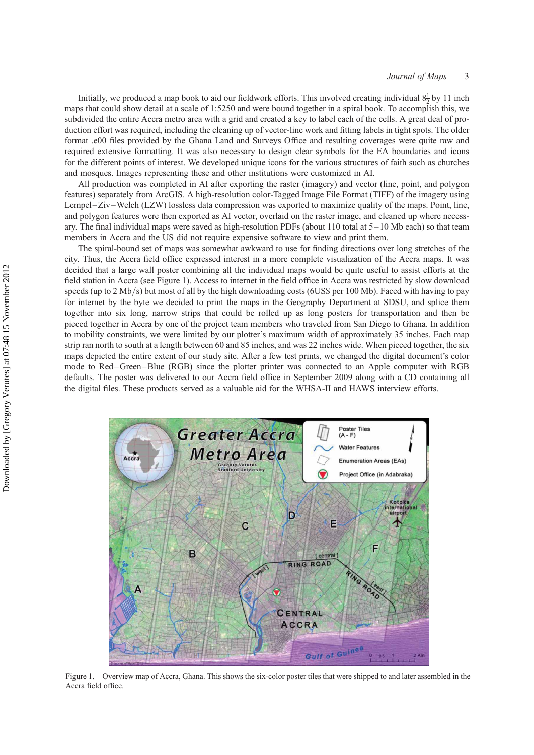Initially, we produced a map book to aid our fieldwork efforts. This involved creating individual  $8\frac{1}{2}$  by 11 inch maps that could show detail at a scale of 1:5250 and were bound together in a spiral book. To accomplish this, we subdivided the entire Accra metro area with a grid and created a key to label each of the cells. A great deal of production effort was required, including the cleaning up of vector-line work and fitting labels in tight spots. The older format .e00 files provided by the Ghana Land and Surveys Office and resulting coverages were quite raw and required extensive formatting. It was also necessary to design clear symbols for the EA boundaries and icons for the different points of interest. We developed unique icons for the various structures of faith such as churches and mosques. Images representing these and other institutions were customized in AI.

All production was completed in AI after exporting the raster (imagery) and vector (line, point, and polygon features) separately from ArcGIS. A high-resolution color-Tagged Image File Format (TIFF) of the imagery using Lempel –Ziv –Welch (LZW) lossless data compression was exported to maximize quality of the maps. Point, line, and polygon features were then exported as AI vector, overlaid on the raster image, and cleaned up where necessary. The final individual maps were saved as high-resolution PDFs (about 110 total at 5 – 10 Mb each) so that team members in Accra and the US did not require expensive software to view and print them.

The spiral-bound set of maps was somewhat awkward to use for finding directions over long stretches of the city. Thus, the Accra field office expressed interest in a more complete visualization of the Accra maps. It was decided that a large wall poster combining all the individual maps would be quite useful to assist efforts at the field station in Accra (see Figure 1). Access to internet in the field office in Accra was restricted by slow download speeds (up to 2 Mb/s) but most of all by the high downloading costs (6US\$ per 100 Mb). Faced with having to pay for internet by the byte we decided to print the maps in the Geography Department at SDSU, and splice them together into six long, narrow strips that could be rolled up as long posters for transportation and then be pieced together in Accra by one of the project team members who traveled from San Diego to Ghana. In addition to mobility constraints, we were limited by our plotter's maximum width of approximately 35 inches. Each map strip ran north to south at a length between 60 and 85 inches, and was 22 inches wide. When pieced together, the six maps depicted the entire extent of our study site. After a few test prints, we changed the digital document's color mode to Red –Green –Blue (RGB) since the plotter printer was connected to an Apple computer with RGB defaults. The poster was delivered to our Accra field office in September 2009 along with a CD containing all the digital files. These products served as a valuable aid for the WHSA-II and HAWS interview efforts.



Figure 1. Overview map of Accra, Ghana. This shows the six-color poster tiles that were shipped to and later assembled in the Accra field office.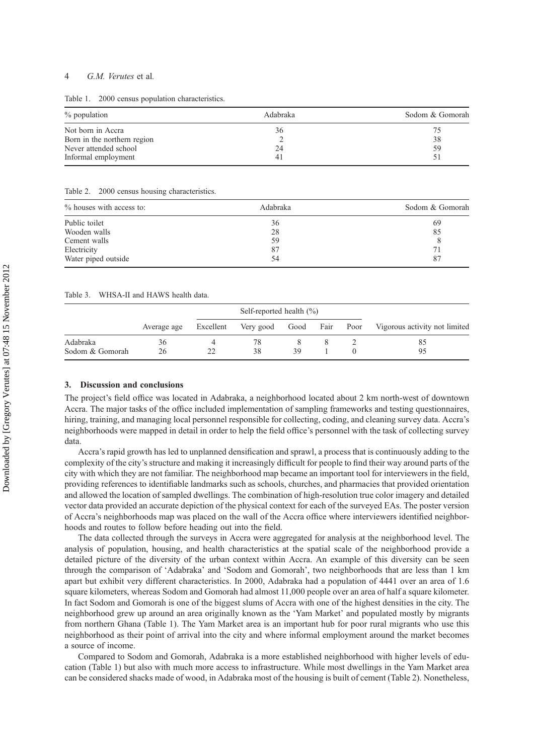#### 4 G.M. Verutes et al.

Table 1. 2000 census population characteristics.

| % population                | Adabraka | Sodom & Gomorah |  |  |
|-----------------------------|----------|-----------------|--|--|
| Not born in Accra           | 36       |                 |  |  |
| Born in the northern region |          | 38              |  |  |
| Never attended school       | 24       | 59              |  |  |
| Informal employment         |          |                 |  |  |

#### Table 2. 2000 census housing characteristics.

| % houses with access to: | Adabraka | Sodom & Gomorah |  |
|--------------------------|----------|-----------------|--|
| Public toilet            | 36       | 69              |  |
| Wooden walls             | 28       | 85              |  |
| Cement walls             | 59       |                 |  |
| Electricity              | 87       |                 |  |
| Water piped outside      | 54       | 87              |  |

#### Table 3. WHSA-II and HAWS health data.

|                 |             |           | Self-reported health $(\% )$ |                |  |  |                               |
|-----------------|-------------|-----------|------------------------------|----------------|--|--|-------------------------------|
|                 | Average age | Excellent | Very good                    | Good Fair Poor |  |  | Vigorous activity not limited |
| Adabraka        | 36          |           | 78                           |                |  |  | 85                            |
| Sodom & Gomorah | 26          | つつ        | 38                           | 39             |  |  | 95                            |

#### 3. Discussion and conclusions

The project's field office was located in Adabraka, a neighborhood located about 2 km north-west of downtown Accra. The major tasks of the office included implementation of sampling frameworks and testing questionnaires, hiring, training, and managing local personnel responsible for collecting, coding, and cleaning survey data. Accra's neighborhoods were mapped in detail in order to help the field office's personnel with the task of collecting survey data.

Accra's rapid growth has led to unplanned densification and sprawl, a process that is continuously adding to the complexity of the city's structure and making it increasingly difficult for people to find their way around parts of the city with which they are not familiar. The neighborhood map became an important tool for interviewers in the field, providing references to identifiable landmarks such as schools, churches, and pharmacies that provided orientation and allowed the location of sampled dwellings. The combination of high-resolution true color imagery and detailed vector data provided an accurate depiction of the physical context for each of the surveyed EAs. The poster version of Accra's neighborhoods map was placed on the wall of the Accra office where interviewers identified neighborhoods and routes to follow before heading out into the field.

The data collected through the surveys in Accra were aggregated for analysis at the neighborhood level. The analysis of population, housing, and health characteristics at the spatial scale of the neighborhood provide a detailed picture of the diversity of the urban context within Accra. An example of this diversity can be seen through the comparison of 'Adabraka' and 'Sodom and Gomorah', two neighborhoods that are less than 1 km apart but exhibit very different characteristics. In 2000, Adabraka had a population of 4441 over an area of 1.6 square kilometers, whereas Sodom and Gomorah had almost 11,000 people over an area of half a square kilometer. In fact Sodom and Gomorah is one of the biggest slums of Accra with one of the highest densities in the city. The neighborhood grew up around an area originally known as the 'Yam Market' and populated mostly by migrants from northern Ghana (Table 1). The Yam Market area is an important hub for poor rural migrants who use this neighborhood as their point of arrival into the city and where informal employment around the market becomes a source of income.

Compared to Sodom and Gomorah, Adabraka is a more established neighborhood with higher levels of education (Table 1) but also with much more access to infrastructure. While most dwellings in the Yam Market area can be considered shacks made of wood, in Adabraka most of the housing is built of cement (Table 2). Nonetheless,